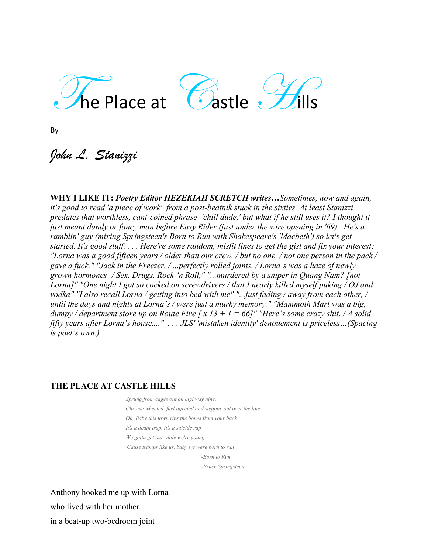

By

*John L. Stanizzi*

**WHY I LIKE IT:** *Poetry Editor HEZEKIAH SCRETCH writes…Sometimes, now and again, it's good to read 'a piece of work' from a post-beatnik stuck in the sixties. At least Stanizzi predates that worthless, cant-coined phrase 'chill dude,' but what if he still uses it? I thought it just meant dandy or fancy man before Easy Rider (just under the wire opening in '69). He's a ramblin' guy (mixing Springsteen's Born to Run with Shakespeare's 'Macbeth') so let's get started. It's good stuff. . . . Here're some random, misfit lines to get the gist and fix your interest: "Lorna was a good fifteen years / older than our crew, / but no one, / not one person in the pack / gave a fuck." "Jack in the Freezer, / ...perfectly rolled joints. / Lorna's was a haze of newly grown hormones- / Sex. Drugs. Rock 'n Roll," "...murdered by a sniper in Quang Nam? [not Lorna]" "One night I got so cocked on screwdrivers / that I nearly killed myself puking / OJ and vodka" "I also recall Lorna / getting into bed with me" "...just fading / away from each other, / until the days and nights at Lorna's / were just a murky memory." "Mammoth Mart was a big, dumpy / department store up on Route Five [ x 13 + 1 = 66]" "Here's some crazy shit. / A solid fifty years after Lorna's house,..." . . . JLS' 'mistaken identity' denouement is priceless…(Spacing is poet's own.)*

#### **THE PLACE AT CASTLE HILLS**

*Sprung from cages out on highway nine, Chrome wheeled, fuel injected,and steppin' out over the line Oh, Baby this town rips the bones from your back It's a death trap, it's a suicide rap We gotta get out while we're young 'Cause tramps like us, baby we were born to run -Born to Run*

*-Bruce Springsteen*

Anthony hooked me up with Lorna who lived with her mother in a beat-up two-bedroom joint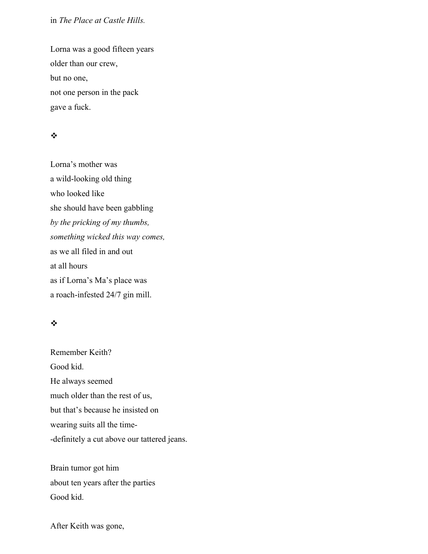in *The Place at Castle Hills.*

Lorna was a good fifteen years older than our crew, but no one, not one person in the pack gave a fuck.

#### ❖

Lorna's mother was a wild-looking old thing who looked like she should have been gabbling *by the pricking of my thumbs, something wicked this way comes,* as we all filed in and out at all hours as if Lorna's Ma's place was a roach-infested 24/7 gin mill.

### ❖

Remember Keith? Good kid. He always seemed much older than the rest of us, but that's because he insisted on wearing suits all the time- -definitely a cut above our tattered jeans.

Brain tumor got him about ten years after the parties Good kid.

After Keith was gone,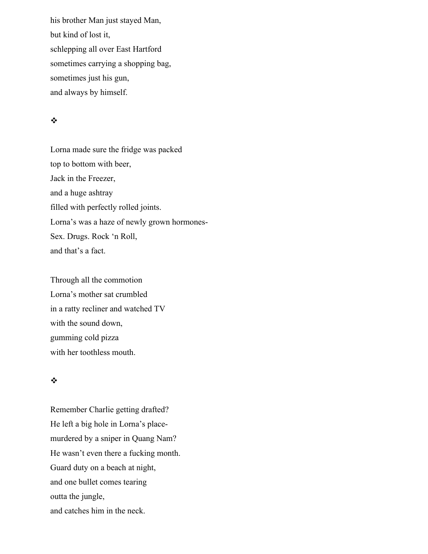his brother Man just stayed Man, but kind of lost it, schlepping all over East Hartford sometimes carrying a shopping bag, sometimes just his gun, and always by himself.

# ❖

Lorna made sure the fridge was packed top to bottom with beer, Jack in the Freezer, and a huge ashtray filled with perfectly rolled joints. Lorna's was a haze of newly grown hormones-Sex. Drugs. Rock 'n Roll, and that's a fact.

Through all the commotion Lorna's mother sat crumbled in a ratty recliner and watched TV with the sound down, gumming cold pizza with her toothless mouth.

# ❖

Remember Charlie getting drafted? He left a big hole in Lorna's placemurdered by a sniper in Quang Nam? He wasn't even there a fucking month. Guard duty on a beach at night, and one bullet comes tearing outta the jungle, and catches him in the neck.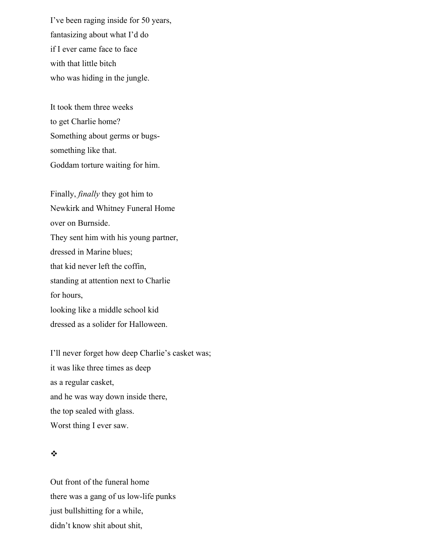I've been raging inside for 50 years, fantasizing about what I'd do if I ever came face to face with that little bitch who was hiding in the jungle.

It took them three weeks to get Charlie home? Something about germs or bugssomething like that. Goddam torture waiting for him.

Finally, *finally* they got him to Newkirk and Whitney Funeral Home over on Burnside. They sent him with his young partner, dressed in Marine blues; that kid never left the coffin, standing at attention next to Charlie for hours, looking like a middle school kid dressed as a solider for Halloween.

I'll never forget how deep Charlie's casket was; it was like three times as deep as a regular casket, and he was way down inside there, the top sealed with glass. Worst thing I ever saw.

#### ❖

Out front of the funeral home there was a gang of us low-life punks just bullshitting for a while, didn't know shit about shit,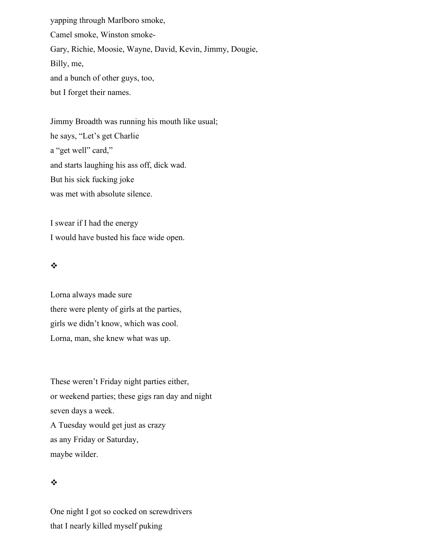yapping through Marlboro smoke, Camel smoke, Winston smoke-Gary, Richie, Moosie, Wayne, David, Kevin, Jimmy, Dougie, Billy, me, and a bunch of other guys, too, but I forget their names.

Jimmy Broadth was running his mouth like usual; he says, "Let's get Charlie a "get well" card," and starts laughing his ass off, dick wad. But his sick fucking joke was met with absolute silence.

I swear if I had the energy I would have busted his face wide open.

### ❖

Lorna always made sure there were plenty of girls at the parties, girls we didn't know, which was cool. Lorna, man, she knew what was up.

These weren't Friday night parties either, or weekend parties; these gigs ran day and night seven days a week. A Tuesday would get just as crazy as any Friday or Saturday, maybe wilder.

### ❖

One night I got so cocked on screwdrivers that I nearly killed myself puking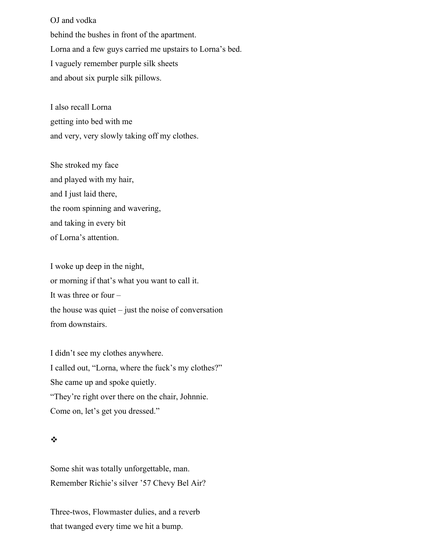OJ and vodka

behind the bushes in front of the apartment. Lorna and a few guys carried me upstairs to Lorna's bed. I vaguely remember purple silk sheets and about six purple silk pillows.

I also recall Lorna getting into bed with me and very, very slowly taking off my clothes.

She stroked my face and played with my hair, and I just laid there, the room spinning and wavering, and taking in every bit of Lorna's attention.

I woke up deep in the night, or morning if that's what you want to call it. It was three or four – the house was quiet – just the noise of conversation from downstairs.

I didn't see my clothes anywhere. I called out, "Lorna, where the fuck's my clothes?" She came up and spoke quietly. "They're right over there on the chair, Johnnie. Come on, let's get you dressed."

#### ❖

Some shit was totally unforgettable, man. Remember Richie's silver '57 Chevy Bel Air?

Three-twos, Flowmaster dulies, and a reverb that twanged every time we hit a bump.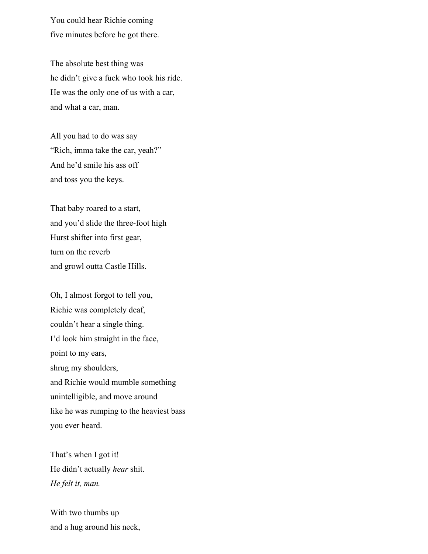You could hear Richie coming five minutes before he got there.

The absolute best thing was he didn't give a fuck who took his ride. He was the only one of us with a car, and what a car, man.

All you had to do was say "Rich, imma take the car, yeah?" And he'd smile his ass off and toss you the keys.

That baby roared to a start, and you'd slide the three-foot high Hurst shifter into first gear, turn on the reverb and growl outta Castle Hills.

Oh, I almost forgot to tell you, Richie was completely deaf, couldn't hear a single thing. I'd look him straight in the face, point to my ears, shrug my shoulders, and Richie would mumble something unintelligible, and move around like he was rumping to the heaviest bass you ever heard.

That's when I got it! He didn't actually *hear* shit. *He felt it, man.*

With two thumbs up and a hug around his neck,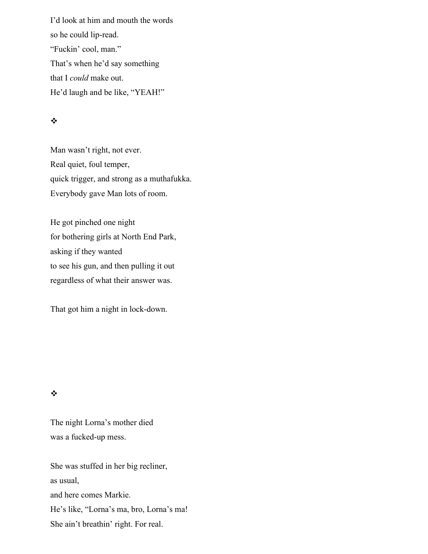I'd look at him and mouth the words so he could lip-read. "Fuckin' cool, man." That's when he'd say something that I *could* make out. He'd laugh and be like, "YEAH!"

# ❖

Man wasn't right, not ever. Real quiet, foul temper, quick trigger, and strong as a muthafukka. Everybody gave Man lots of room.

He got pinched one night for bothering girls at North End Park, asking if they wanted to see his gun, and then pulling it out regardless of what their answer was.

That got him a night in lock-down.

### ❖

The night Lorna's mother died was a fucked-up mess.

She was stuffed in her big recliner, as usual, and here comes Markie. He's like, "Lorna's ma, bro, Lorna's ma! She ain't breathin' right. For real.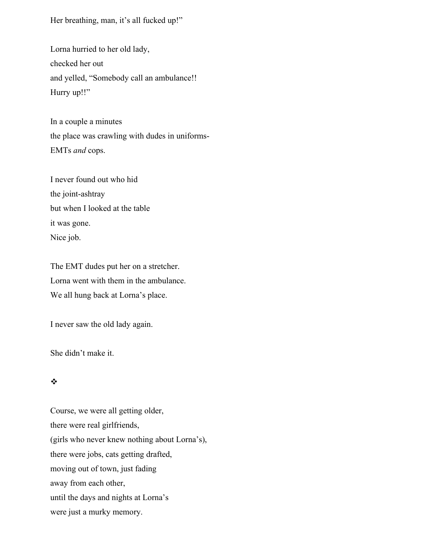Her breathing, man, it's all fucked up!"

Lorna hurried to her old lady, checked her out and yelled, "Somebody call an ambulance!! Hurry up!!"

In a couple a minutes the place was crawling with dudes in uniforms-EMTs *and* cops.

I never found out who hid the joint-ashtray but when I looked at the table it was gone. Nice job.

The EMT dudes put her on a stretcher. Lorna went with them in the ambulance. We all hung back at Lorna's place.

I never saw the old lady again.

She didn't make it.

### ❖

Course, we were all getting older, there were real girlfriends, (girls who never knew nothing about Lorna's), there were jobs, cats getting drafted, moving out of town, just fading away from each other, until the days and nights at Lorna's were just a murky memory.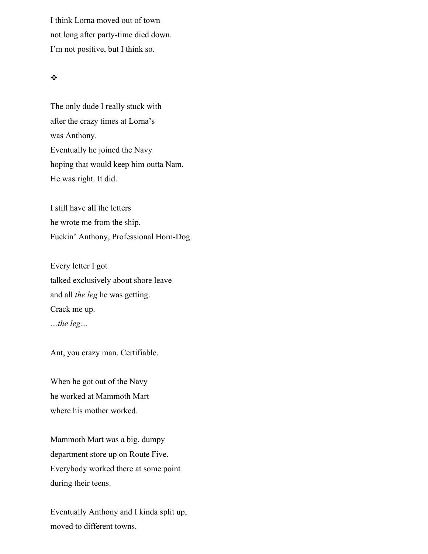I think Lorna moved out of town not long after party-time died down. I'm not positive, but I think so.

#### ❖

The only dude I really stuck with after the crazy times at Lorna's was Anthony. Eventually he joined the Navy hoping that would keep him outta Nam. He was right. It did.

I still have all the letters he wrote me from the ship. Fuckin' Anthony, Professional Horn-Dog.

Every letter I got talked exclusively about shore leave and all *the leg* he was getting. Crack me up. *…the leg…*

Ant, you crazy man. Certifiable.

When he got out of the Navy he worked at Mammoth Mart where his mother worked.

Mammoth Mart was a big, dumpy department store up on Route Five. Everybody worked there at some point during their teens.

Eventually Anthony and I kinda split up, moved to different towns.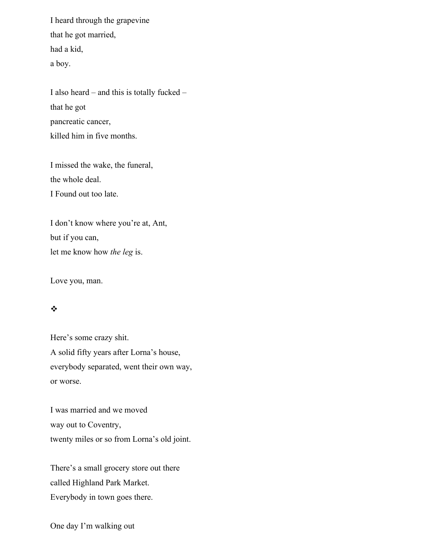I heard through the grapevine that he got married, had a kid, a boy.

I also heard – and this is totally fucked – that he got pancreatic cancer, killed him in five months.

I missed the wake, the funeral, the whole deal. I Found out too late.

I don't know where you're at, Ant, but if you can, let me know how *the leg* is.

Love you, man.

# ❖

Here's some crazy shit. A solid fifty years after Lorna's house, everybody separated, went their own way, or worse.

I was married and we moved way out to Coventry, twenty miles or so from Lorna's old joint.

There's a small grocery store out there called Highland Park Market. Everybody in town goes there.

One day I'm walking out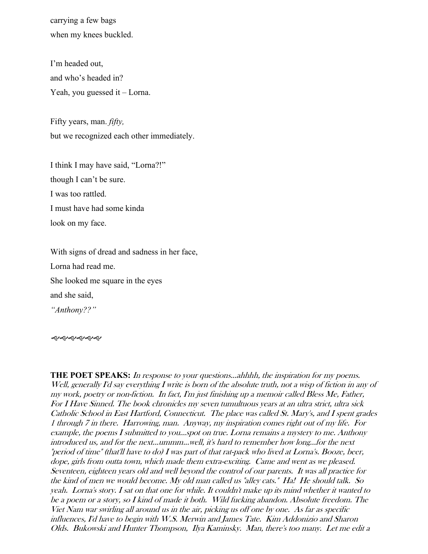carrying a few bags when my knees buckled.

I'm headed out, and who's headed in? Yeah, you guessed it – Lorna.

Fifty years, man. *fifty,* but we recognized each other immediately.

I think I may have said, "Lorna?!" though I can't be sure. I was too rattled. I must have had some kinda look on my face.

With signs of dread and sadness in her face, Lorna had read me. She looked me square in the eyes and she said, *"Anthony??"*

やややややや

**THE POET SPEAKS:** In response to your questions...ahhhh, the inspiration for my poems. Well, generally I'd say everything I write is born of the absolute truth, not a wisp of fiction in any of my work, poetry or non-fiction. In fact, I'm just finishing up a memoir called Bless Me, Father, For I Have Sinned. The book chronicles my seven tumultuous years at an ultra strict, ultra sick Catholic School in East Hartford, Connecticut. The place was called St. Mary's, and I spent grades 1 through 7 in there. Harrowing, man. Anyway, my inspiration comes right out of my life. For example, the poems I submitted to you...spot on true. Lorna remains a mystery to me. Anthony introduced us, and for the next...ummm...well, it's hard to remember how long...for the next "period of time" (that'll have to do) I was part of that rat-pack who lived at Lorna's. Booze, beer, dope, girls from outta town, which made them extra-exciting. Came and went as we pleased. Seventeen, eighteen years old and well beyond the control of our parents. It was all practice for the kind of men we would become. My old man called us "alley cats." Ha! He should talk. So yeah. Lorna's story. I sat on that one for while. It couldn't make up its mind whether it wanted to be a poem or a story, so I kind of made it both. Wild fucking abandon. Absolute freedom. The Viet Nam war swirling all around us in the air, picking us off one by one. As far as specific influences, I'd have to begin with W.S. Merwin and James Tate. Kim Addonizio and Sharon Olds. Bukowski and Hunter Thompson, Ilya Kaminsky. Man, there's too many. Let me edit a